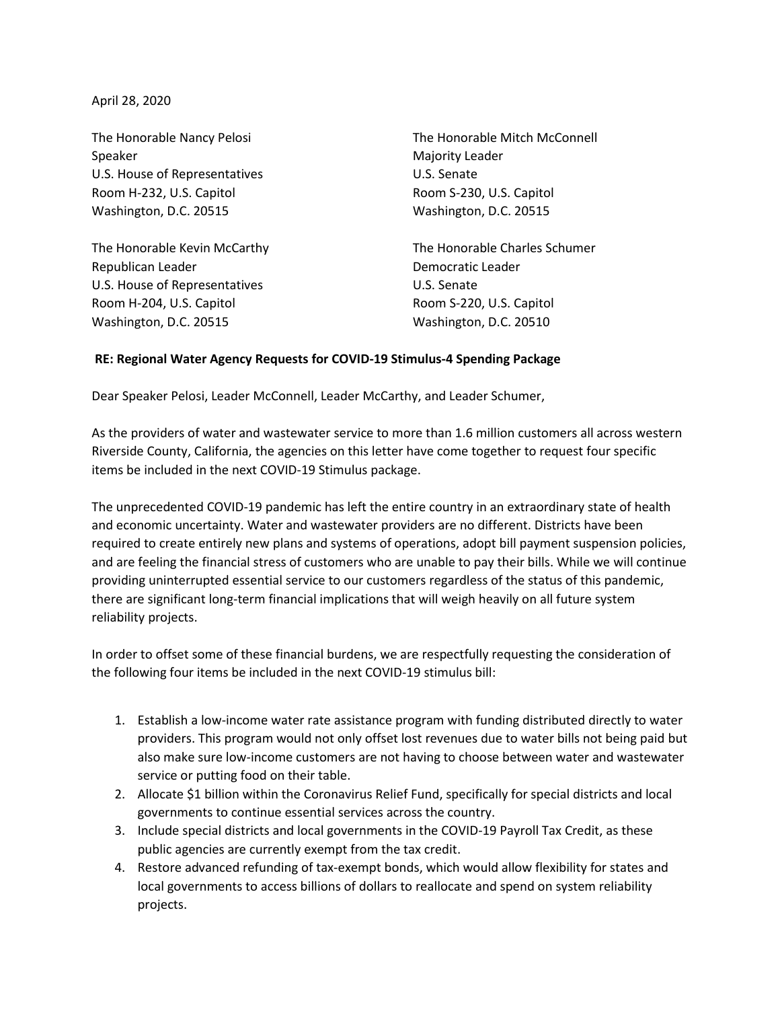April 28, 2020

Speaker Majority Leader U.S. House of Representatives U.S. Senate Room H-232, U.S. Capitol **Room S-230, U.S. Capitol** Room S-230, U.S. Capitol Washington, D.C. 20515 Washington, D.C. 20515

Republican Leader **Democratic Leader** U.S. House of Representatives U.S. Senate Room H-204, U.S. Capitol Room S-220, U.S. Capitol Washington, D.C. 20515 Washington, D.C. 20510

The Honorable Nancy Pelosi The Honorable Mitch McConnell

The Honorable Kevin McCarthy The Honorable Charles Schumer

## **RE: Regional Water Agency Requests for COVID-19 Stimulus-4 Spending Package**

Dear Speaker Pelosi, Leader McConnell, Leader McCarthy, and Leader Schumer,

As the providers of water and wastewater service to more than 1.6 million customers all across western Riverside County, California, the agencies on this letter have come together to request four specific items be included in the next COVID-19 Stimulus package.

The unprecedented COVID-19 pandemic has left the entire country in an extraordinary state of health and economic uncertainty. Water and wastewater providers are no different. Districts have been required to create entirely new plans and systems of operations, adopt bill payment suspension policies, and are feeling the financial stress of customers who are unable to pay their bills. While we will continue providing uninterrupted essential service to our customers regardless of the status of this pandemic, there are significant long-term financial implications that will weigh heavily on all future system reliability projects.

In order to offset some of these financial burdens, we are respectfully requesting the consideration of the following four items be included in the next COVID-19 stimulus bill:

- 1. Establish a low-income water rate assistance program with funding distributed directly to water providers. This program would not only offset lost revenues due to water bills not being paid but also make sure low-income customers are not having to choose between water and wastewater service or putting food on their table.
- 2. Allocate \$1 billion within the Coronavirus Relief Fund, specifically for special districts and local governments to continue essential services across the country.
- 3. Include special districts and local governments in the COVID-19 Payroll Tax Credit, as these public agencies are currently exempt from the tax credit.
- 4. Restore advanced refunding of tax-exempt bonds, which would allow flexibility for states and local governments to access billions of dollars to reallocate and spend on system reliability projects.